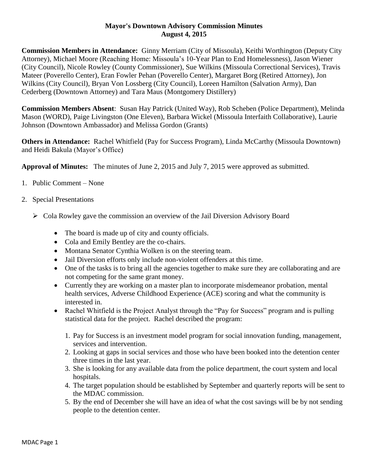## **Mayor's Downtown Advisory Commission Minutes August 4, 2015**

**Commission Members in Attendance:** Ginny Merriam (City of Missoula), Keithi Worthington (Deputy City Attorney), Michael Moore (Reaching Home: Missoula's 10-Year Plan to End Homelessness), Jason Wiener (City Council), Nicole Rowley (County Commissioner), Sue Wilkins (Missoula Correctional Services), Travis Mateer (Poverello Center), Eran Fowler Pehan (Poverello Center), Margaret Borg (Retired Attorney), Jon Wilkins (City Council), Bryan Von Lossberg (City Council), Loreen Hamilton (Salvation Army), Dan Cederberg (Downtown Attorney) and Tara Maus (Montgomery Distillery)

**Commission Members Absent**: Susan Hay Patrick (United Way), Rob Scheben (Police Department), Melinda Mason (WORD), Paige Livingston (One Eleven), Barbara Wickel (Missoula Interfaith Collaborative), Laurie Johnson (Downtown Ambassador) and Melissa Gordon (Grants)

**Others in Attendance:** Rachel Whitfield (Pay for Success Program), Linda McCarthy (Missoula Downtown) and Heidi Bakula (Mayor's Office)

**Approval of Minutes:** The minutes of June 2, 2015 and July 7, 2015 were approved as submitted.

- 1. Public Comment None
- 2. Special Presentations
	- $\triangleright$  Cola Rowley gave the commission an overview of the Jail Diversion Advisory Board
		- The board is made up of city and county officials.
		- Cola and Emily Bentley are the co-chairs.
		- Montana Senator Cynthia Wolken is on the steering team.
		- Jail Diversion efforts only include non-violent offenders at this time.
		- One of the tasks is to bring all the agencies together to make sure they are collaborating and are not competing for the same grant money.
		- Currently they are working on a master plan to incorporate misdemeanor probation, mental health services, Adverse Childhood Experience (ACE) scoring and what the community is interested in.
		- Rachel Whitfield is the Project Analyst through the "Pay for Success" program and is pulling statistical data for the project. Rachel described the program:
			- 1. Pay for Success is an investment model program for social innovation funding, management, services and intervention.
			- 2. Looking at gaps in social services and those who have been booked into the detention center three times in the last year.
			- 3. She is looking for any available data from the police department, the court system and local hospitals.
			- 4. The target population should be established by September and quarterly reports will be sent to the MDAC commission.
			- 5. By the end of December she will have an idea of what the cost savings will be by not sending people to the detention center.